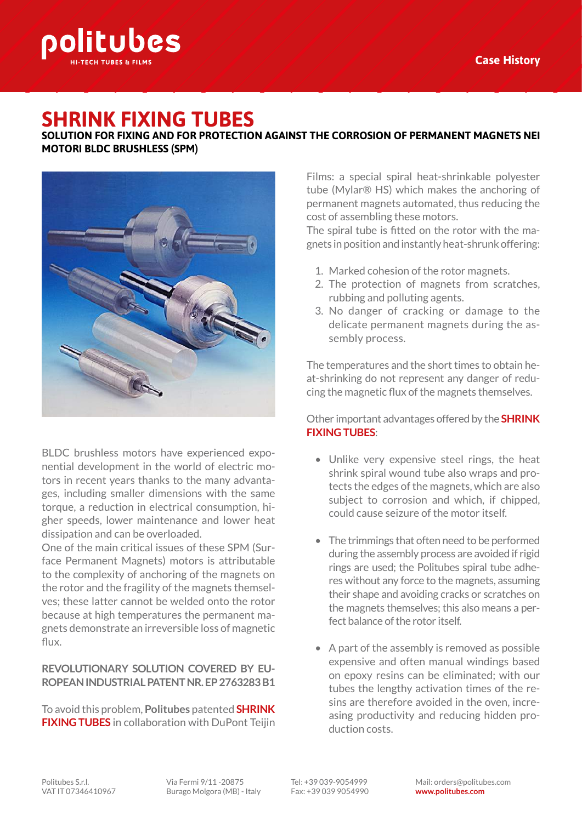

# **SHRINK FIXING TUBES**

**SOLUTION FOR FIXING AND FOR PROTECTION AGAINST THE CORROSION OF PERMANENT MAGNETS NEI MOTORI BLDC BRUSHLESS (SPM)**



BLDC brushless motors have experienced exponential development in the world of electric motors in recent years thanks to the many advantages, including smaller dimensions with the same torque, a reduction in electrical consumption, higher speeds, lower maintenance and lower heat dissipation and can be overloaded.

One of the main critical issues of these SPM (Surface Permanent Magnets) motors is attributable to the complexity of anchoring of the magnets on the rotor and the fragility of the magnets themselves; these latter cannot be welded onto the rotor because at high temperatures the permanent magnets demonstrate an irreversible loss of magnetic flux.

## **REVOLUTIONARY SOLUTION COVERED BY EU-ROPEAN INDUSTRIAL PATENT NR. EP 2763283 B1**

To avoid this problem, **Politubes** patented **SHRINK FIXING TUBES** in collaboration with DuPont Teijin

Films: a special spiral heat-shrinkable polyester tube (Mylar® HS) which makes the anchoring of permanent magnets automated, thus reducing the cost of assembling these motors.

The spiral tube is fitted on the rotor with the magnets in position and instantly heat-shrunk offering:

- 1. Marked cohesion of the rotor magnets.
- 2. The protection of magnets from scratches, rubbing and polluting agents.
- 3. No danger of cracking or damage to the delicate permanent magnets during the assembly process.

The temperatures and the short times to obtain heat-shrinking do not represent any danger of reducing the magnetic flux of the magnets themselves.

Other important advantages offered by the **SHRINK FIXING TUBES**:

- Unlike very expensive steel rings, the heat shrink spiral wound tube also wraps and protects the edges of the magnets, which are also subject to corrosion and which, if chipped, could cause seizure of the motor itself.
- The trimmings that often need to be performed during the assembly process are avoided if rigid rings are used; the Politubes spiral tube adheres without any force to the magnets, assuming their shape and avoiding cracks or scratches on the magnets themselves; this also means a perfect balance of the rotor itself.
- A part of the assembly is removed as possible expensive and often manual windings based on epoxy resins can be eliminated; with our tubes the lengthy activation times of the resins are therefore avoided in the oven, increasing productivity and reducing hidden production costs.